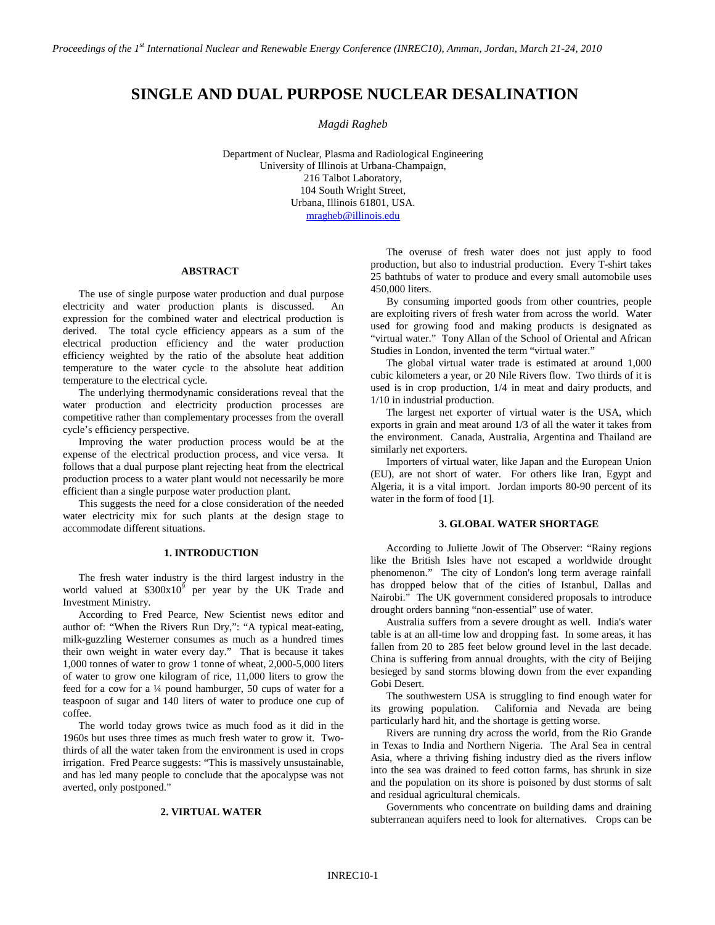# **SINGLE AND DUAL PURPOSE NUCLEAR DESALINATION**

*Magdi Ragheb*

Department of Nuclear, Plasma and Radiological Engineering University of Illinois at Urbana-Champaign, 216 Talbot Laboratory, 104 South Wright Street, Urbana, Illinois 61801, USA. [mragheb@illinois.edu](mailto:mragheb@illinois.edu)

#### **ABSTRACT**

The use of single purpose water production and dual purpose electricity and water production plants is discussed. An expression for the combined water and electrical production is derived. The total cycle efficiency appears as a sum of the electrical production efficiency and the water production efficiency weighted by the ratio of the absolute heat addition temperature to the water cycle to the absolute heat addition temperature to the electrical cycle.

The underlying thermodynamic considerations reveal that the water production and electricity production processes are competitive rather than complementary processes from the overall cycle's efficiency perspective.

Improving the water production process would be at the expense of the electrical production process, and vice versa. It follows that a dual purpose plant rejecting heat from the electrical production process to a water plant would not necessarily be more efficient than a single purpose water production plant.

This suggests the need for a close consideration of the needed water electricity mix for such plants at the design stage to accommodate different situations.

## **1. INTRODUCTION**

The fresh water industry is the third largest industry in the world valued at  $$300x10<sup>9</sup>$  per year by the UK Trade and Investment Ministry.

According to Fred Pearce, New Scientist news editor and author of: "When the Rivers Run Dry,": "A typical meat-eating, milk-guzzling Westerner consumes as much as a hundred times their own weight in water every day." That is because it takes 1,000 tonnes of water to grow 1 tonne of wheat, 2,000-5,000 liters of water to grow one kilogram of rice, 11,000 liters to grow the feed for a cow for a ¼ pound hamburger, 50 cups of water for a teaspoon of sugar and 140 liters of water to produce one cup of coffee.

The world today grows twice as much food as it did in the 1960s but uses three times as much fresh water to grow it. Twothirds of all the water taken from the environment is used in crops irrigation. Fred Pearce suggests: "This is massively unsustainable, and has led many people to conclude that the apocalypse was not averted, only postponed."

#### **2. VIRTUAL WATER**

The overuse of fresh water does not just apply to food production, but also to industrial production. Every T-shirt takes 25 bathtubs of water to produce and every small automobile uses 450,000 liters.

By consuming imported goods from other countries, people are exploiting rivers of fresh water from across the world. Water used for growing food and making products is designated as "virtual water." Tony Allan of the School of Oriental and African Studies in London, invented the term "virtual water."

The global virtual water trade is estimated at around 1,000 cubic kilometers a year, or 20 Nile Rivers flow. Two thirds of it is used is in crop production, 1/4 in meat and dairy products, and 1/10 in industrial production.

The largest net exporter of virtual water is the USA, which exports in grain and meat around 1/3 of all the water it takes from the environment. Canada, Australia, Argentina and Thailand are similarly net exporters.

Importers of virtual water, like Japan and the European Union (EU), are not short of water. For others like Iran, Egypt and Algeria, it is a vital import. Jordan imports 80-90 percent of its water in the form of food [1].

#### **3. GLOBAL WATER SHORTAGE**

According to Juliette Jowit of The Observer: "Rainy regions like the British Isles have not escaped a worldwide drought phenomenon." The city of London's long term average rainfall has dropped below that of the cities of Istanbul, Dallas and Nairobi." The UK government considered proposals to introduce drought orders banning "non-essential" use of water.

Australia suffers from a severe drought as well. India's water table is at an all-time low and dropping fast. In some areas, it has fallen from 20 to 285 feet below ground level in the last decade. China is suffering from annual droughts, with the city of Beijing besieged by sand storms blowing down from the ever expanding Gobi Desert.

The southwestern USA is struggling to find enough water for its growing population. California and Nevada are being particularly hard hit, and the shortage is getting worse.

Rivers are running dry across the world, from the Rio Grande in Texas to India and Northern Nigeria. The Aral Sea in central Asia, where a thriving fishing industry died as the rivers inflow into the sea was drained to feed cotton farms, has shrunk in size and the population on its shore is poisoned by dust storms of salt and residual agricultural chemicals.

Governments who concentrate on building dams and draining subterranean aquifers need to look for alternatives. Crops can be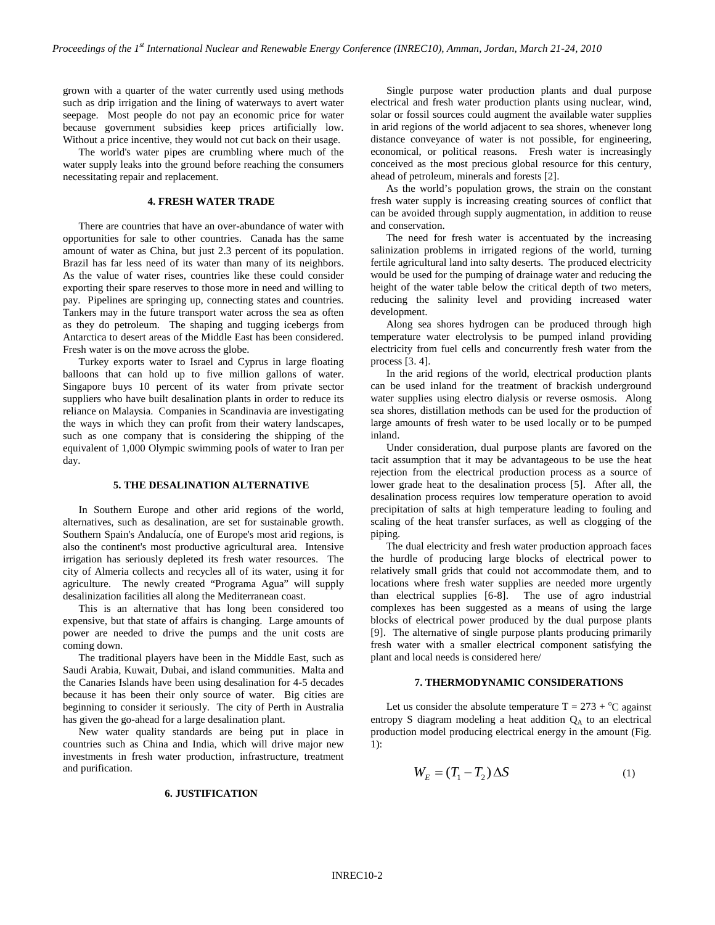grown with a quarter of the water currently used using methods such as drip irrigation and the lining of waterways to avert water seepage. Most people do not pay an economic price for water because government subsidies keep prices artificially low. Without a price incentive, they would not cut back on their usage.

The world's water pipes are crumbling where much of the water supply leaks into the ground before reaching the consumers necessitating repair and replacement.

## **4. FRESH WATER TRADE**

There are countries that have an over-abundance of water with opportunities for sale to other countries. Canada has the same amount of water as China, but just 2.3 percent of its population. Brazil has far less need of its water than many of its neighbors. As the value of water rises, countries like these could consider exporting their spare reserves to those more in need and willing to pay. Pipelines are springing up, connecting states and countries. Tankers may in the future transport water across the sea as often as they do petroleum. The shaping and tugging icebergs from Antarctica to desert areas of the Middle East has been considered. Fresh water is on the move across the globe.

Turkey exports water to Israel and Cyprus in large floating balloons that can hold up to five million gallons of water. Singapore buys 10 percent of its water from private sector suppliers who have built desalination plants in order to reduce its reliance on Malaysia. Companies in Scandinavia are investigating the ways in which they can profit from their watery landscapes, such as one company that is considering the shipping of the equivalent of 1,000 Olympic swimming pools of water to Iran per day.

#### **5. THE DESALINATION ALTERNATIVE**

In Southern Europe and other arid regions of the world, alternatives, such as desalination, are set for sustainable growth. Southern Spain's Andalucía, one of Europe's most arid regions, is also the continent's most productive agricultural area. Intensive irrigation has seriously depleted its fresh water resources. The city of Almeria collects and recycles all of its water, using it for agriculture. The newly created "Programa Agua" will supply desalinization facilities all along the Mediterranean coast.

This is an alternative that has long been considered too expensive, but that state of affairs is changing. Large amounts of power are needed to drive the pumps and the unit costs are coming down.

The traditional players have been in the Middle East, such as Saudi Arabia, Kuwait, Dubai, and island communities. Malta and the Canaries Islands have been using desalination for 4-5 decades because it has been their only source of water. Big cities are beginning to consider it seriously. The city of Perth in Australia has given the go-ahead for a large desalination plant.

New water quality standards are being put in place in countries such as China and India, which will drive major new investments in fresh water production, infrastructure, treatment and purification.

#### **6. JUSTIFICATION**

Single purpose water production plants and dual purpose electrical and fresh water production plants using nuclear, wind, solar or fossil sources could augment the available water supplies in arid regions of the world adjacent to sea shores, whenever long distance conveyance of water is not possible, for engineering, economical, or political reasons. Fresh water is increasingly conceived as the most precious global resource for this century, ahead of petroleum, minerals and forests [2].

As the world's population grows, the strain on the constant fresh water supply is increasing creating sources of conflict that can be avoided through supply augmentation, in addition to reuse and conservation.

The need for fresh water is accentuated by the increasing salinization problems in irrigated regions of the world, turning fertile agricultural land into salty deserts. The produced electricity would be used for the pumping of drainage water and reducing the height of the water table below the critical depth of two meters, reducing the salinity level and providing increased water development.

Along sea shores hydrogen can be produced through high temperature water electrolysis to be pumped inland providing electricity from fuel cells and concurrently fresh water from the process [3. 4].

In the arid regions of the world, electrical production plants can be used inland for the treatment of brackish underground water supplies using electro dialysis or reverse osmosis. Along sea shores, distillation methods can be used for the production of large amounts of fresh water to be used locally or to be pumped inland.

Under consideration, dual purpose plants are favored on the tacit assumption that it may be advantageous to be use the heat rejection from the electrical production process as a source of lower grade heat to the desalination process [5]. After all, the desalination process requires low temperature operation to avoid precipitation of salts at high temperature leading to fouling and scaling of the heat transfer surfaces, as well as clogging of the piping.

The dual electricity and fresh water production approach faces the hurdle of producing large blocks of electrical power to relatively small grids that could not accommodate them, and to locations where fresh water supplies are needed more urgently than electrical supplies [6-8]. The use of agro industrial complexes has been suggested as a means of using the large blocks of electrical power produced by the dual purpose plants [9]. The alternative of single purpose plants producing primarily fresh water with a smaller electrical component satisfying the plant and local needs is considered here/

#### **7. THERMODYNAMIC CONSIDERATIONS**

Let us consider the absolute temperature  $T = 273 + {}^{o}C$  against entropy S diagram modeling a heat addition  $Q<sub>A</sub>$  to an electrical production model producing electrical energy in the amount (Fig.  $1$ ).

$$
W_E = (T_1 - T_2) \Delta S \tag{1}
$$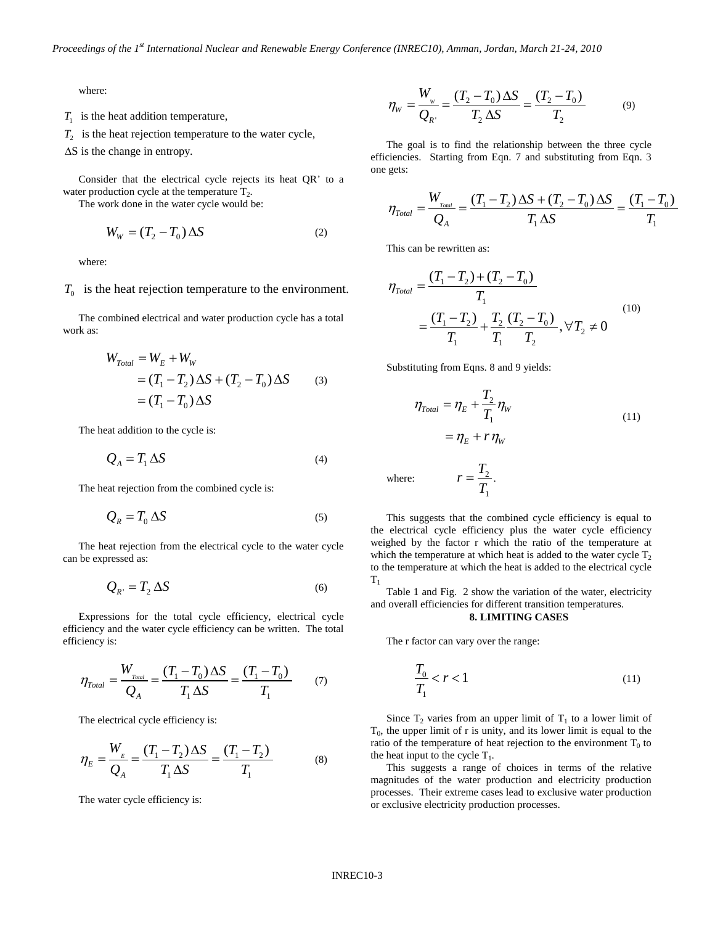where:

 $T_1$  is the heat addition temperature,

 $T_2$  is the heat rejection temperature to the water cycle,

∆S is the change in entropy.

Consider that the electrical cycle rejects its heat QR' to a water production cycle at the temperature  $T_2$ .

The work done in the water cycle would be:

$$
W_W = (T_2 - T_0) \Delta S \tag{2}
$$

where:

 $T_0$  is the heat rejection temperature to the environment.

The combined electrical and water production cycle has a total work as:

$$
W_{\text{Total}} = W_E + W_W
$$
  
=  $(T_1 - T_2) \Delta S + (T_2 - T_0) \Delta S$  (3)  
=  $(T_1 - T_0) \Delta S$ 

The heat addition to the cycle is:

$$
Q_A = T_1 \Delta S \tag{4}
$$

The heat rejection from the combined cycle is:

$$
Q_R = T_0 \Delta S \tag{5}
$$

The heat rejection from the electrical cycle to the water cycle can be expressed as:

$$
Q_{R'} = T_2 \Delta S \tag{6}
$$

Expressions for the total cycle efficiency, electrical cycle efficiency and the water cycle efficiency can be written. The total efficiency is:

$$
\eta_{\text{Total}} = \frac{W_{\text{Total}}}{Q_{A}} = \frac{(T_{1} - T_{0}) \Delta S}{T_{1} \Delta S} = \frac{(T_{1} - T_{0})}{T_{1}} \tag{7}
$$

The electrical cycle efficiency is:

$$
\eta_E = \frac{W_E}{Q_A} = \frac{(T_1 - T_2)\Delta S}{T_1 \Delta S} = \frac{(T_1 - T_2)}{T_1}
$$
(8)

The water cycle efficiency is:

$$
\eta_{W} = \frac{W_{W}}{Q_{R'}} = \frac{(T_2 - T_0)\,\Delta S}{T_2\,\Delta S} = \frac{(T_2 - T_0)}{T_2} \tag{9}
$$

The goal is to find the relationship between the three cycle efficiencies. Starting from Eqn. 7 and substituting from Eqn. 3 one gets:

$$
\eta_{\text{Total}} = \frac{W_{\text{Total}}}{Q_{A}} = \frac{(T_{1} - T_{2})\,\Delta S + (T_{2} - T_{0})\,\Delta S}{T_{1}\,\Delta S} = \frac{(T_{1} - T_{0})}{T_{1}}
$$

This can be rewritten as:

$$
\eta_{\text{Total}} = \frac{(T_1 - T_2) + (T_2 - T_0)}{T_1}
$$
\n
$$
= \frac{(T_1 - T_2)}{T_1} + \frac{T_2}{T_1} \frac{(T_2 - T_0)}{T_2}, \forall T_2 \neq 0
$$
\n(10)

Substituting from Eqns. 8 and 9 yields:

$$
\eta_{\text{Total}} = \eta_E + \frac{T_2}{T_1} \eta_W
$$
  
= 
$$
\eta_E + r \eta_W
$$
 (11)

where: 
$$
r = \frac{T_2}{T_1}.
$$

This suggests that the combined cycle efficiency is equal to the electrical cycle efficiency plus the water cycle efficiency weighed by the factor r which the ratio of the temperature at which the temperature at which heat is added to the water cycle  $T_2$ to the temperature at which the heat is added to the electrical cycle  $T<sub>1</sub>$ 

Table 1 and Fig. 2 show the variation of the water, electricity and overall efficiencies for different transition temperatures.

## **8. LIMITING CASES**

The r factor can vary over the range:

$$
\frac{T_0}{T_1} < r < 1\tag{11}
$$

Since  $T_2$  varies from an upper limit of  $T_1$  to a lower limit of  $T_0$ , the upper limit of r is unity, and its lower limit is equal to the ratio of the temperature of heat rejection to the environment  $T_0$  to the heat input to the cycle  $T_1$ .

This suggests a range of choices in terms of the relative magnitudes of the water production and electricity production processes. Their extreme cases lead to exclusive water production or exclusive electricity production processes.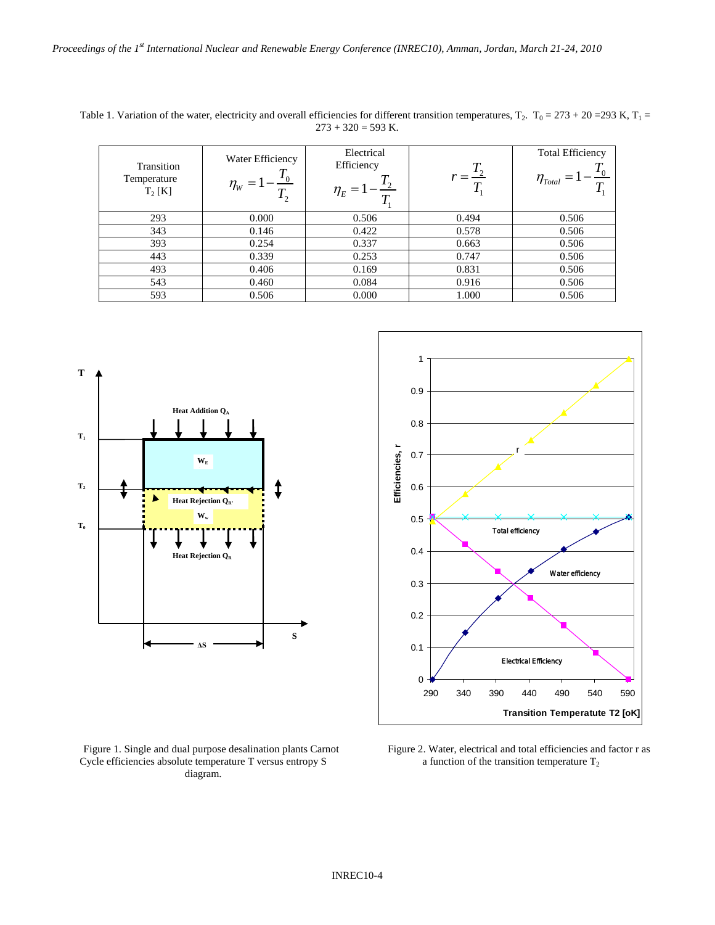| Transition<br>Temperature<br>$T_2[K]$ | Water Efficiency<br>$\eta_{_W}$ | Electrical<br>Efficiency<br>$\eta_{E} =$ |       | <b>Total Efficiency</b><br>$\eta_{\scriptscriptstyle Total}$ |
|---------------------------------------|---------------------------------|------------------------------------------|-------|--------------------------------------------------------------|
| 293                                   | 0.000                           | 0.506                                    | 0.494 | 0.506                                                        |
| 343                                   | 0.146                           | 0.422                                    | 0.578 | 0.506                                                        |
| 393                                   | 0.254                           | 0.337                                    | 0.663 | 0.506                                                        |
| 443                                   | 0.339                           | 0.253                                    | 0.747 | 0.506                                                        |
| 493                                   | 0.406                           | 0.169                                    | 0.831 | 0.506                                                        |
| 543                                   | 0.460                           | 0.084                                    | 0.916 | 0.506                                                        |
| 593                                   | 0.506                           | 0.000                                    | 1.000 | 0.506                                                        |

Table 1. Variation of the water, electricity and overall efficiencies for different transition temperatures,  $T_2$ .  $T_0 = 273 + 20 = 293$  K,  $T_1 =$  $273 + 320 = 593$  K.





Figure 1. Single and dual purpose desalination plants Carnot Cycle efficiencies absolute temperature T versus entropy S diagram.

Figure 2. Water, electrical and total efficiencies and factor r as a function of the transition temperature  $T_2$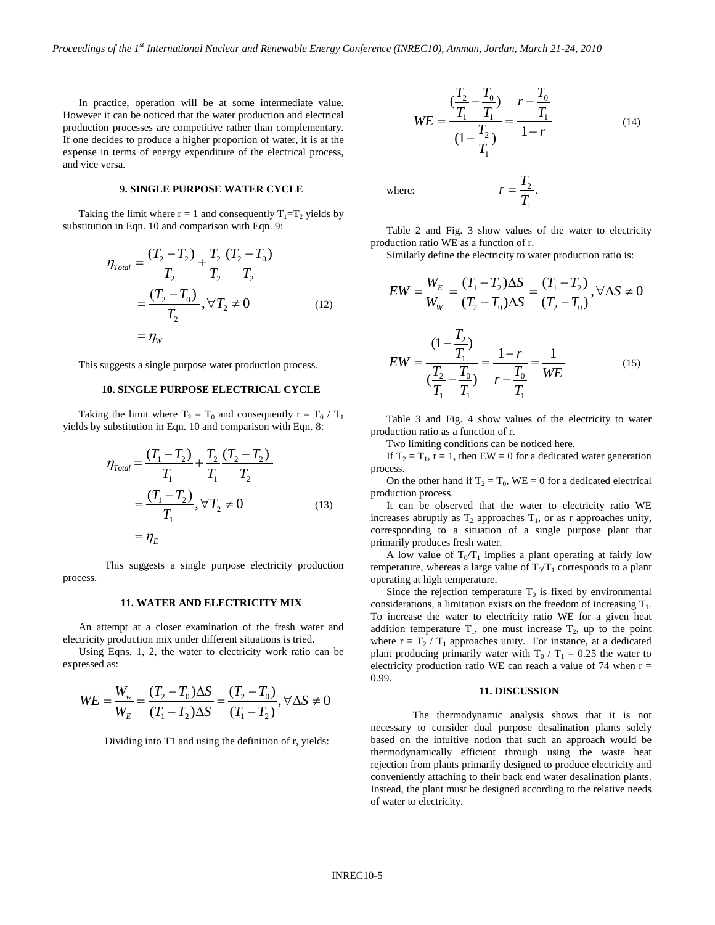In practice, operation will be at some intermediate value. However it can be noticed that the water production and electrical production processes are competitive rather than complementary. If one decides to produce a higher proportion of water, it is at the expense in terms of energy expenditure of the electrical process, and vice versa.

## **9. SINGLE PURPOSE WATER CYCLE**

Taking the limit where  $r = 1$  and consequently  $T_1 = T_2$  yields by substitution in Eqn. 10 and comparison with Eqn. 9:

$$
\eta_{\text{Total}} = \frac{(T_2 - T_2)}{T_2} + \frac{T_2}{T_2} \frac{(T_2 - T_0)}{T_2}
$$
\n
$$
= \frac{(T_2 - T_0)}{T_2}, \forall T_2 \neq 0 \tag{12}
$$
\n
$$
= \eta_w
$$

This suggests a single purpose water production process.

#### **10. SINGLE PURPOSE ELECTRICAL CYCLE**

Taking the limit where  $T_2 = T_0$  and consequently  $r = T_0 / T_1$ yields by substitution in Eqn. 10 and comparison with Eqn. 8:

$$
\eta_{\text{Total}} = \frac{(T_1 - T_2)}{T_1} + \frac{T_2}{T_1} \frac{(T_2 - T_2)}{T_2}
$$
\n
$$
= \frac{(T_1 - T_2)}{T_1}, \forall T_2 \neq 0 \tag{13}
$$
\n
$$
= \eta_E
$$

This suggests a single purpose electricity production process.

## **11. WATER AND ELECTRICITY MIX**

An attempt at a closer examination of the fresh water and electricity production mix under different situations is tried.

Using Eqns. 1, 2, the water to electricity work ratio can be expressed as:

$$
WE = \frac{W_w}{W_E} = \frac{(T_2 - T_0)\Delta S}{(T_1 - T_2)\Delta S} = \frac{(T_2 - T_0)}{(T_1 - T_2)}, \forall \Delta S \neq 0
$$

Dividing into T1 and using the definition of r, yields:

$$
WE = \frac{\left(\frac{T_2}{T_1} - \frac{T_0}{T_1}\right)}{\left(1 - \frac{T_2}{T_1}\right)} = \frac{r - \frac{T_0}{T_1}}{1 - r}
$$
(14)

1  $r = \frac{T_2}{T_1}$ .

where:  $r = \frac{r_2}{r_1}$ 

Table 2 and Fig. 3 show values of the water to electricity production ratio WE as a function of r.

Similarly define the electricity to water production ratio is:

$$
EW = \frac{W_E}{W_W} = \frac{(T_1 - T_2)\Delta S}{(T_2 - T_0)\Delta S} = \frac{(T_1 - T_2)}{(T_2 - T_0)}, \forall \Delta S \neq 0
$$

$$
EW = \frac{(1 - \frac{I_2}{T_1})}{(\frac{T_2}{T_1} - \frac{T_0}{T_1})} = \frac{1 - r}{r - \frac{T_0}{T_1}} = \frac{1}{WE}
$$
(15)

Table 3 and Fig. 4 show values of the electricity to water production ratio as a function of r.

Two limiting conditions can be noticed here.

 $\tau$ 

If  $T_2 = T_1$ ,  $r = 1$ , then EW = 0 for a dedicated water generation process.

On the other hand if  $T_2 = T_0$ , WE = 0 for a dedicated electrical production process.

It can be observed that the water to electricity ratio WE increases abruptly as  $T_2$  approaches  $T_1$ , or as r approaches unity, corresponding to a situation of a single purpose plant that primarily produces fresh water.

A low value of  $T_0/T_1$  implies a plant operating at fairly low temperature, whereas a large value of  $T_0/T_1$  corresponds to a plant operating at high temperature.

Since the rejection temperature  $T_0$  is fixed by environmental considerations, a limitation exists on the freedom of increasing  $T_1$ . To increase the water to electricity ratio WE for a given heat addition temperature  $T_1$ , one must increase  $T_2$ , up to the point where  $r = T_2 / T_1$  approaches unity. For instance, at a dedicated plant producing primarily water with  $T_0 / T_1 = 0.25$  the water to electricity production ratio WE can reach a value of 74 when  $r =$ 0.99.

## **11. DISCUSSION**

The thermodynamic analysis shows that it is not necessary to consider dual purpose desalination plants solely based on the intuitive notion that such an approach would be thermodynamically efficient through using the waste heat rejection from plants primarily designed to produce electricity and conveniently attaching to their back end water desalination plants. Instead, the plant must be designed according to the relative needs of water to electricity.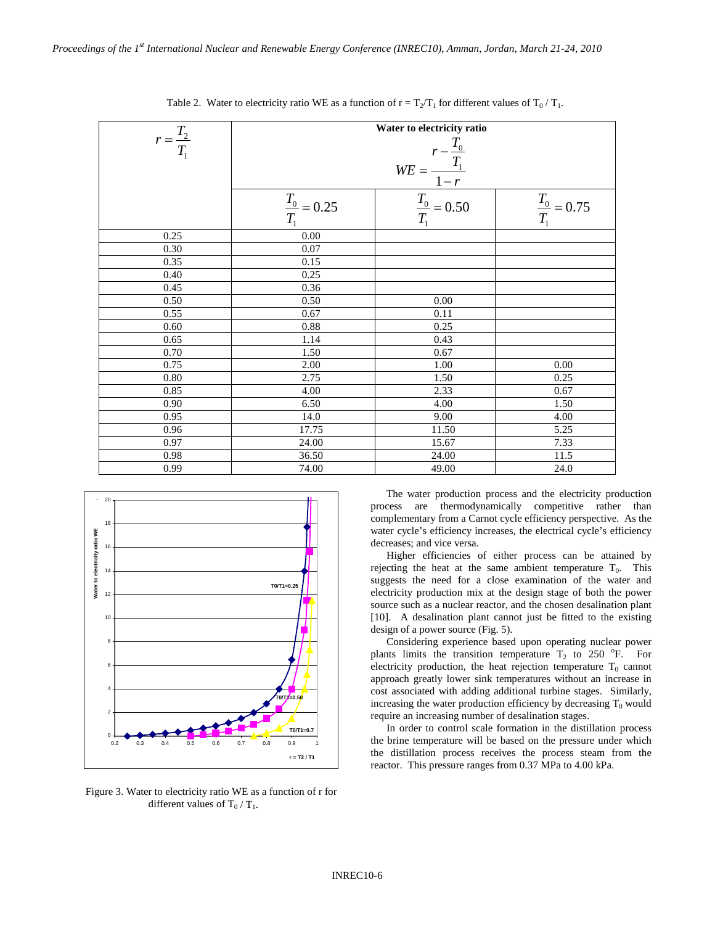| $r = \frac{T_2}{T_1}$ | Water to electricity ratio<br>$WE = \frac{r - \frac{T_0}{T_1}}{1 - r}$ |                          |                          |  |
|-----------------------|------------------------------------------------------------------------|--------------------------|--------------------------|--|
|                       | $\frac{T_0}{T_1}$ = 0.25                                               | $\frac{T_0}{T_1}$ = 0.50 | $\frac{T_0}{T_1}$ = 0.75 |  |
| 0.25                  | 0.00                                                                   |                          |                          |  |
| 0.30                  | 0.07                                                                   |                          |                          |  |
| 0.35                  | 0.15                                                                   |                          |                          |  |
| 0.40                  | 0.25                                                                   |                          |                          |  |
| 0.45                  | 0.36                                                                   |                          |                          |  |
| 0.50                  | 0.50                                                                   | 0.00                     |                          |  |
| 0.55                  | 0.67                                                                   | 0.11                     |                          |  |
| 0.60                  | 0.88                                                                   | 0.25                     |                          |  |
| 0.65                  | 1.14                                                                   | 0.43                     |                          |  |
| 0.70                  | 1.50                                                                   | 0.67                     |                          |  |
| 0.75                  | 2.00                                                                   | 1.00                     | 0.00                     |  |
| 0.80                  | 2.75                                                                   | 1.50                     | 0.25                     |  |
| 0.85                  | 4.00                                                                   | 2.33                     | 0.67                     |  |
| 0.90                  | 6.50                                                                   | 4.00                     | 1.50                     |  |
| 0.95                  | 14.0                                                                   | 9.00                     | 4.00                     |  |
| 0.96                  | 17.75                                                                  | 11.50                    | 5.25                     |  |
| 0.97                  | 24.00                                                                  | 15.67                    | 7.33                     |  |
| 0.98                  | 36.50                                                                  | 24.00                    | 11.5                     |  |
| 0.99                  | 74.00                                                                  | 49.00                    | 24.0                     |  |

Table 2. Water to electricity ratio WE as a function of  $r = T_2/T_1$  for different values of  $T_0/T_1$ .



Figure 3. Water to electricity ratio WE as a function of r for different values of  $T_0/T_1$ .

The water production process and the electricity production process are thermodynamically competitive rather than complementary from a Carnot cycle efficiency perspective. As the water cycle's efficiency increases, the electrical cycle's efficiency decreases; and vice versa.

Higher efficiencies of either process can be attained by rejecting the heat at the same ambient temperature  $T_0$ . This suggests the need for a close examination of the water and electricity production mix at the design stage of both the power source such as a nuclear reactor, and the chosen desalination plant [10]. A desalination plant cannot just be fitted to the existing design of a power source (Fig. 5).

Considering experience based upon operating nuclear power plants limits the transition temperature  $T_2$  to 250 °F. For electricity production, the heat rejection temperature  $T_0$  cannot approach greatly lower sink temperatures without an increase in cost associated with adding additional turbine stages. Similarly, increasing the water production efficiency by decreasing  $T_0$  would require an increasing number of desalination stages.

In order to control scale formation in the distillation process the brine temperature will be based on the pressure under which the distillation process receives the process steam from the reactor. This pressure ranges from 0.37 MPa to 4.00 kPa.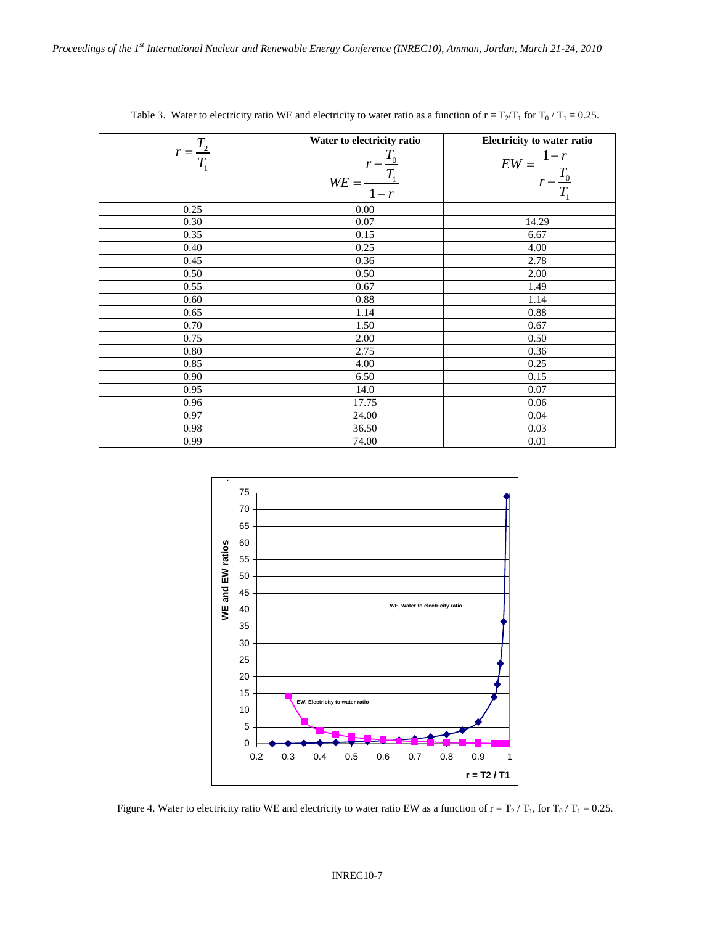|                       | Water to electricity ratio               | Electricity to water ratio               |
|-----------------------|------------------------------------------|------------------------------------------|
| $r = \frac{T_2}{T_1}$ | $WE = \frac{r - \frac{T_0}{T_1}}{1 - r}$ | $EW = \frac{1 - r}{r - \frac{T_0}{T_1}}$ |
| 0.25                  | 0.00                                     |                                          |
| 0.30                  | 0.07                                     | 14.29                                    |
| 0.35                  | 0.15                                     | 6.67                                     |
| 0.40                  | 0.25                                     | 4.00                                     |
| 0.45                  | 0.36                                     | 2.78                                     |
| 0.50                  | 0.50                                     | 2.00                                     |
| 0.55                  | 0.67                                     | 1.49                                     |
| 0.60                  | 0.88                                     | 1.14                                     |
| 0.65                  | 1.14                                     | 0.88                                     |
| 0.70                  | 1.50                                     | 0.67                                     |
| 0.75                  | 2.00                                     | 0.50                                     |
| 0.80                  | 2.75                                     | 0.36                                     |
| 0.85                  | 4.00                                     | 0.25                                     |
| 0.90                  | 6.50                                     | 0.15                                     |
| 0.95                  | 14.0                                     | 0.07                                     |
| 0.96                  | 17.75                                    | 0.06                                     |
| 0.97                  | 24.00                                    | 0.04                                     |
| 0.98                  | 36.50                                    | 0.03                                     |
| 0.99                  | 74.00                                    | 0.01                                     |

Table 3. Water to electricity ratio WE and electricity to water ratio as a function of  $r = T_2/T_1$  for  $T_0/T_1 = 0.25$ .



Figure 4. Water to electricity ratio WE and electricity to water ratio EW as a function of  $r = T_2 / T_1$ , for  $T_0 / T_1 = 0.25$ .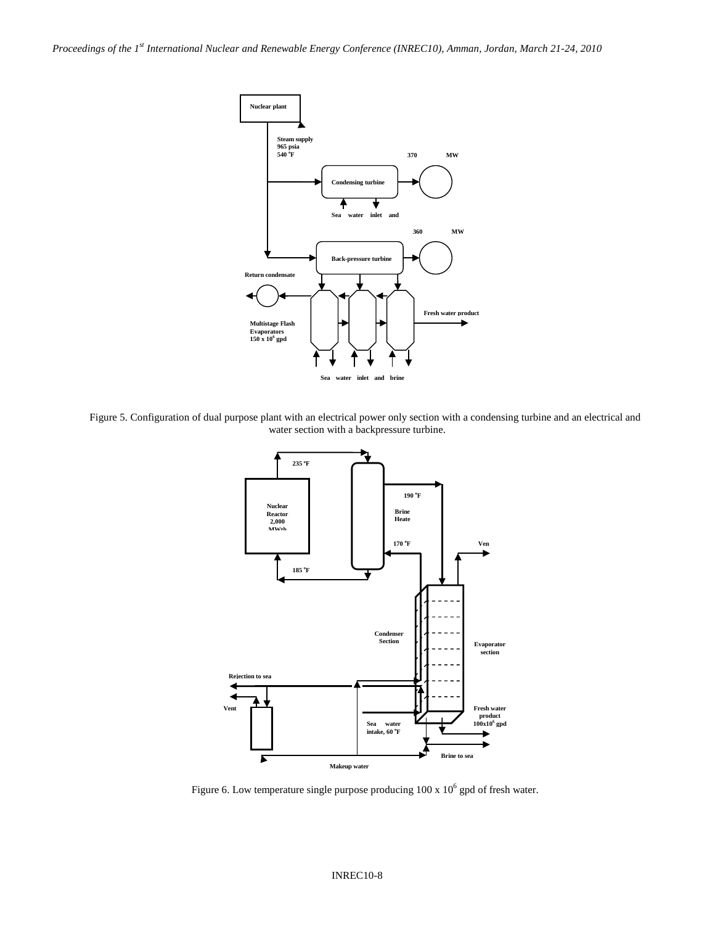

Figure 5. Configuration of dual purpose plant with an electrical power only section with a condensing turbine and an electrical and water section with a backpressure turbine.



Figure 6. Low temperature single purpose producing  $100 \times 10^6$  gpd of fresh water.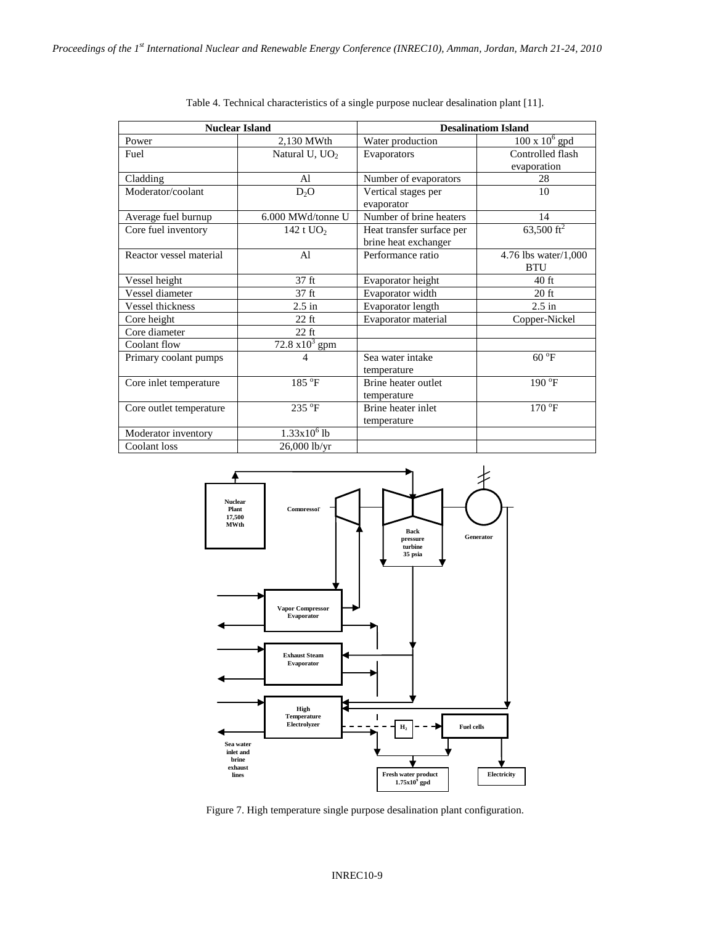| <b>Nuclear Island</b>   |                   | <b>Desalinatiom Island</b>                        |                                       |
|-------------------------|-------------------|---------------------------------------------------|---------------------------------------|
| Power                   | 2,130 MWth        | Water production                                  | $100 \times 10^6$ gpd                 |
| Fuel                    | Natural U, $UO2$  | Evaporators                                       | Controlled flash                      |
|                         |                   |                                                   | evaporation                           |
| Cladding                | Al                | Number of evaporators                             | 28                                    |
| Moderator/coolant       | D <sub>2</sub> O  | Vertical stages per<br>evaporator                 | 10                                    |
| Average fuel burnup     | 6.000 MWd/tonne U | Number of brine heaters                           | 14                                    |
| Core fuel inventory     | 142 t $UO2$       | Heat transfer surface per<br>brine heat exchanger | $63,500 \text{ ft}^2$                 |
| Reactor vessel material | $\mathbf{A}$      | Performance ratio                                 | 4.76 lbs water/ $1,000$<br><b>BTU</b> |
| Vessel height           | 37 <sub>ft</sub>  | Evaporator height                                 | 40 ft                                 |
| Vessel diameter         | 37 <sub>ft</sub>  | Evaporator width                                  | $20$ ft                               |
| <b>Vessel thickness</b> | $2.5$ in          | Evaporator length                                 | $2.5$ in                              |
| Core height             | $22$ ft           | Evaporator material                               | Copper-Nickel                         |
| Core diameter           | $22$ ft           |                                                   |                                       |
| Coolant flow            | 72.8 $x10^3$ gpm  |                                                   |                                       |
| Primary coolant pumps   | 4                 | Sea water intake<br>temperature                   | $60^{\circ}F$                         |
| Core inlet temperature  | $185^{\circ}$ F   | Brine heater outlet<br>temperature                | $190\text{°F}$                        |
| Core outlet temperature | 235 °F            | Brine heater inlet<br>temperature                 | $170^{\circ}$ F                       |
| Moderator inventory     | $1.33x10^{6}$ lb  |                                                   |                                       |
| Coolant loss            | $26,000$ lb/yr    |                                                   |                                       |

Table 4. Technical characteristics of a single purpose nuclear desalination plant [11].



Figure 7. High temperature single purpose desalination plant configuration.